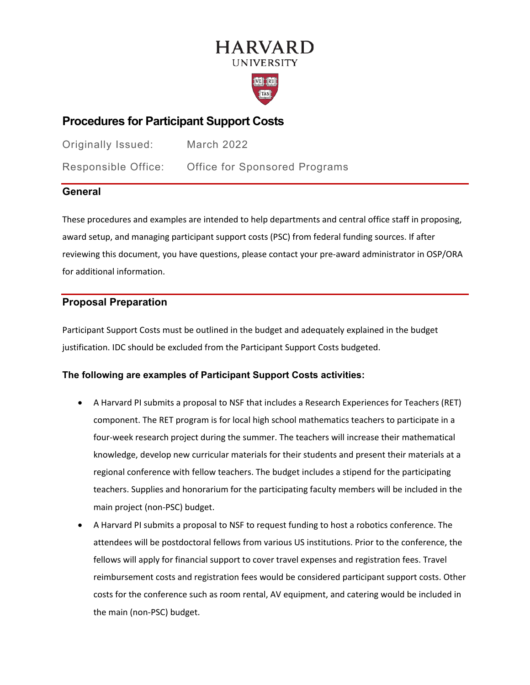# **HARVARD UNIVERSITY**



# **Procedures for Participant Support Costs**

Originally Issued: March 2022 Responsible Office: Office for Sponsored Programs

# **General**

These procedures and examples are intended to help departments and central office staff in proposing, award setup, and managing participant support costs (PSC) from federal funding sources. If after reviewing this document, you have questions, please contact your pre-award administrator in OSP/ORA for additional information.

# **Proposal Preparation**

Participant Support Costs must be outlined in the budget and adequately explained in the budget justification. IDC should be excluded from the Participant Support Costs budgeted.

# **The following are examples of Participant Support Costs activities:**

- A Harvard PI submits a proposal to NSF that includes a Research Experiences for Teachers (RET) component. The RET program is for local high school mathematics teachers to participate in a four-week research project during the summer. The teachers will increase their mathematical knowledge, develop new curricular materials for their students and present their materials at a regional conference with fellow teachers. The budget includes a stipend for the participating teachers. Supplies and honorarium for the participating faculty members will be included in the main project (non-PSC) budget.
- A Harvard PI submits a proposal to NSF to request funding to host a robotics conference. The attendees will be postdoctoral fellows from various US institutions. Prior to the conference, the fellows will apply for financial support to cover travel expenses and registration fees. Travel reimbursement costs and registration fees would be considered participant support costs. Other costs for the conference such as room rental, AV equipment, and catering would be included in the main (non-PSC) budget.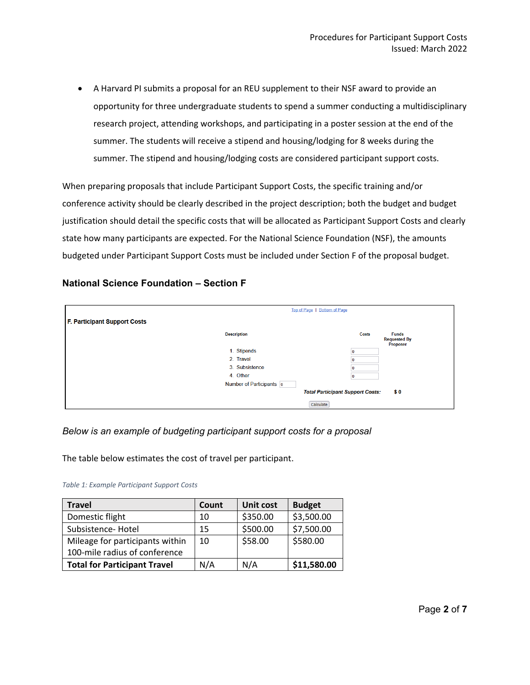• A Harvard PI submits a proposal for an REU supplement to their NSF award to provide an opportunity for three undergraduate students to spend a summer conducting a multidisciplinary research project, attending workshops, and participating in a poster session at the end of the summer. The students will receive a stipend and housing/lodging for 8 weeks during the summer. The stipend and housing/lodging costs are considered participant support costs.

When preparing proposals that include Participant Support Costs, the specific training and/or conference activity should be clearly described in the project description; both the budget and budget justification should detail the specific costs that will be allocated as Participant Support Costs and clearly state how many participants are expected. For the National Science Foundation (NSF), the amounts budgeted under Participant Support Costs must be included under Section F of the proposal budget.

# **National Science Foundation – Section F**

|                                     | Top of Page   Bottom of Page                   |           |                                                 |  |  |  |
|-------------------------------------|------------------------------------------------|-----------|-------------------------------------------------|--|--|--|
| <b>F. Participant Support Costs</b> |                                                |           |                                                 |  |  |  |
|                                     | <b>Description</b>                             | Costs     | <b>Funds</b><br><b>Requested By</b><br>Proposer |  |  |  |
|                                     | 1. Stipends                                    |           |                                                 |  |  |  |
|                                     | 2. Travel                                      |           |                                                 |  |  |  |
|                                     | 3. Subsistence                                 |           |                                                 |  |  |  |
|                                     | 4. Other                                       |           |                                                 |  |  |  |
|                                     | Number of Participants o                       |           |                                                 |  |  |  |
|                                     | <b>Total Participant Support Costs:</b><br>\$0 |           |                                                 |  |  |  |
|                                     |                                                | Calculate |                                                 |  |  |  |

# *Below is an example of budgeting participant support costs for a proposal*

The table below estimates the cost of travel per participant.

| <b>Travel</b>                       | Count | <b>Unit cost</b> | <b>Budget</b> |
|-------------------------------------|-------|------------------|---------------|
| Domestic flight                     | 10    | \$350.00         | \$3,500.00    |
| Subsistence-Hotel                   | 15    | \$500.00         | \$7,500.00    |
| Mileage for participants within     | 10    | \$58.00          | \$580.00      |
| 100-mile radius of conference       |       |                  |               |
| <b>Total for Participant Travel</b> | N/A   | N/A              | \$11,580.00   |

#### *Table 1: Example Participant Support Costs*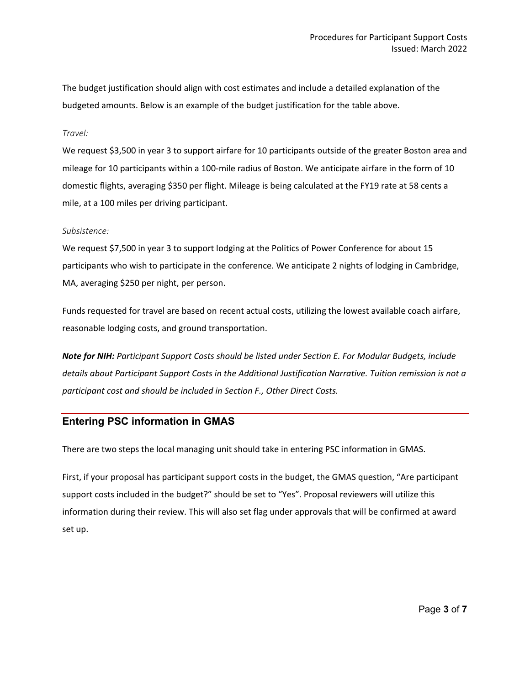The budget justification should align with cost estimates and include a detailed explanation of the budgeted amounts. Below is an example of the budget justification for the table above.

#### *Travel:*

We request \$3,500 in year 3 to support airfare for 10 participants outside of the greater Boston area and mileage for 10 participants within a 100-mile radius of Boston. We anticipate airfare in the form of 10 domestic flights, averaging \$350 per flight. Mileage is being calculated at the FY19 rate at 58 cents a mile, at a 100 miles per driving participant.

#### *Subsistence:*

We request \$7,500 in year 3 to support lodging at the Politics of Power Conference for about 15 participants who wish to participate in the conference. We anticipate 2 nights of lodging in Cambridge, MA, averaging \$250 per night, per person. 

Funds requested for travel are based on recent actual costs, utilizing the lowest available coach airfare, reasonable lodging costs, and ground transportation. 

*Note for NIH: Participant Support Costs should be listed under Section E. For Modular Budgets, include details about Participant Support Costs in the Additional Justification Narrative. Tuition remission is not a participant cost and should be included in Section F., Other Direct Costs.*

# **Entering PSC information in GMAS**

There are two steps the local managing unit should take in entering PSC information in GMAS.

First, if your proposal has participant support costs in the budget, the GMAS question, "Are participant support costs included in the budget?" should be set to "Yes". Proposal reviewers will utilize this information during their review. This will also set flag under approvals that will be confirmed at award set up.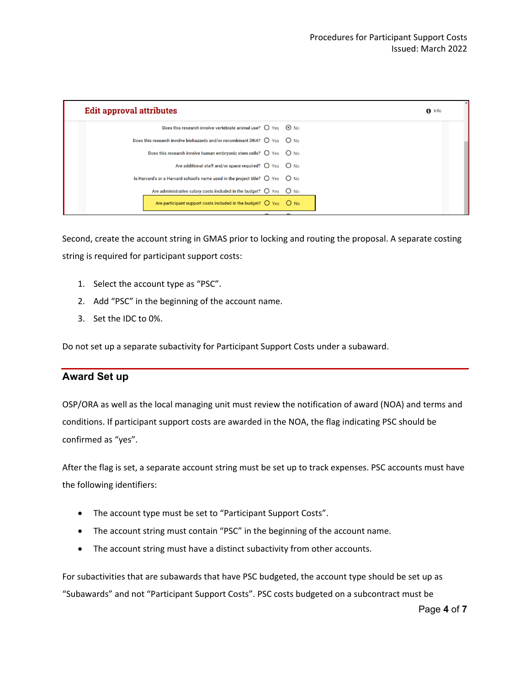| $\theta$ Info |
|---------------|
|               |
|               |
|               |
|               |
|               |
|               |
|               |
|               |

Second, create the account string in GMAS prior to locking and routing the proposal. A separate costing string is required for participant support costs:

- 1. Select the account type as "PSC".
- 2. Add "PSC" in the beginning of the account name.
- 3. Set the IDC to 0%.

Do not set up a separate subactivity for Participant Support Costs under a subaward.

# **Award Set up**

OSP/ORA as well as the local managing unit must review the notification of award (NOA) and terms and conditions. If participant support costs are awarded in the NOA, the flag indicating PSC should be confirmed as "yes".

After the flag is set, a separate account string must be set up to track expenses. PSC accounts must have the following identifiers:

- The account type must be set to "Participant Support Costs".
- The account string must contain "PSC" in the beginning of the account name.
- The account string must have a distinct subactivity from other accounts.

For subactivities that are subawards that have PSC budgeted, the account type should be set up as "Subawards" and not "Participant Support Costs". PSC costs budgeted on a subcontract must be

Page **4** of **7**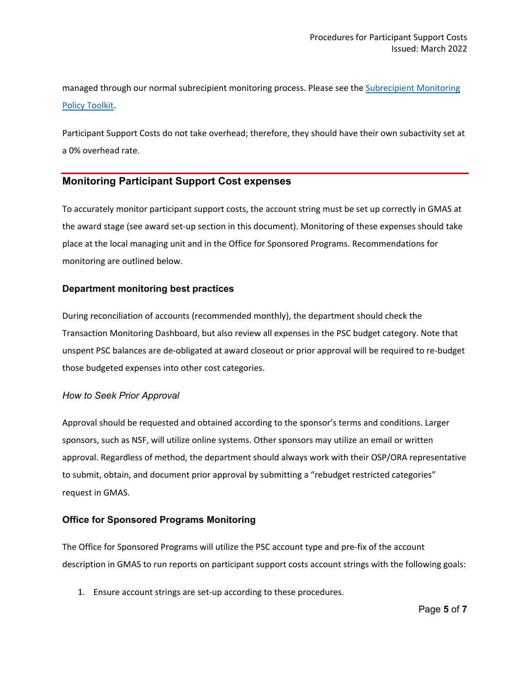managed through our normal subrecipient monitoring process. Please see the Subrecipient Monitoring [Policy Toolkit.](https://osp.finance.harvard.edu/office-for-sponsored-programs/subrecipient-monitoring-toolkit)

Participant Support Costs do not take overhead; therefore, they should have their own subactivity set at a 0% overhead rate.

# **Monitoring Participant Support Cost expenses**

To accurately monitor participant support costs, the account string must be set up correctly in GMAS at the award stage (see award set-up section in this document). Monitoring of these expenses should take place at the local managing unit and in the Office for Sponsored Programs. Recommendations for monitoring are outlined below.

### **Department monitoring best practices**

During reconciliation of accounts (recommended monthly), the department should check the Transaction Monitoring Dashboard, but also review all expenses in the PSC budget category. Note that unspent PSC balances are de-obligated at award closeout or prior approval will be required to re-budget those budgeted expenses into other cost categories.

### *How to Seek Prior Approval*

Approval should be requested and obtained according to the sponsor's terms and conditions. Larger sponsors, such as NSF, will utilize online systems. Other sponsors may utilize an email or written approval. Regardless of method, the department should always work with their OSP/ORA representative to submit, obtain, and document prior approval by submitting a "rebudget restricted categories" request in GMAS.

### **Office for Sponsored Programs Monitoring**

The Office for Sponsored Programs will utilize the PSC account type and pre-fix of the account description in GMAS to run reports on participant support costs account strings with the following goals:

1. Ensure account strings are set-up according to these procedures.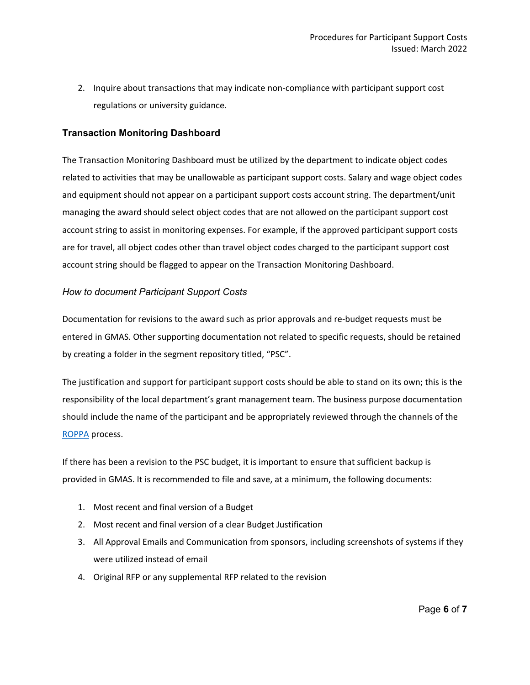2. Inquire about transactions that may indicate non-compliance with participant support cost regulations or university guidance.

### **Transaction Monitoring Dashboard**

The Transaction Monitoring Dashboard must be utilized by the department to indicate object codes related to activities that may be unallowable as participant support costs. Salary and wage object codes and equipment should not appear on a participant support costs account string. The department/unit managing the award should select object codes that are not allowed on the participant support cost account string to assist in monitoring expenses. For example, if the approved participant support costs are for travel, all object codes other than travel object codes charged to the participant support cost account string should be flagged to appear on the Transaction Monitoring Dashboard.

### *How to document Participant Support Costs*

Documentation for revisions to the award such as prior approvals and re-budget requests must be entered in GMAS. Other supporting documentation not related to specific requests, should be retained by creating a folder in the segment repository titled, "PSC".

The justification and support for participant support costs should be able to stand on its own; this is the responsibility of the local department's grant management team. The business purpose documentation should include the name of the participant and be appropriately reviewed through the channels of the [ROPPA](https://policies.fad.harvard.edu/responsibilities-purchasers-preparers-and-approvers) process.

If there has been a revision to the PSC budget, it is important to ensure that sufficient backup is provided in GMAS. It is recommended to file and save, at a minimum, the following documents:

- 1. Most recent and final version of a Budget
- 2. Most recent and final version of a clear Budget Justification
- 3. All Approval Emails and Communication from sponsors, including screenshots of systems if they were utilized instead of email
- 4. Original RFP or any supplemental RFP related to the revision